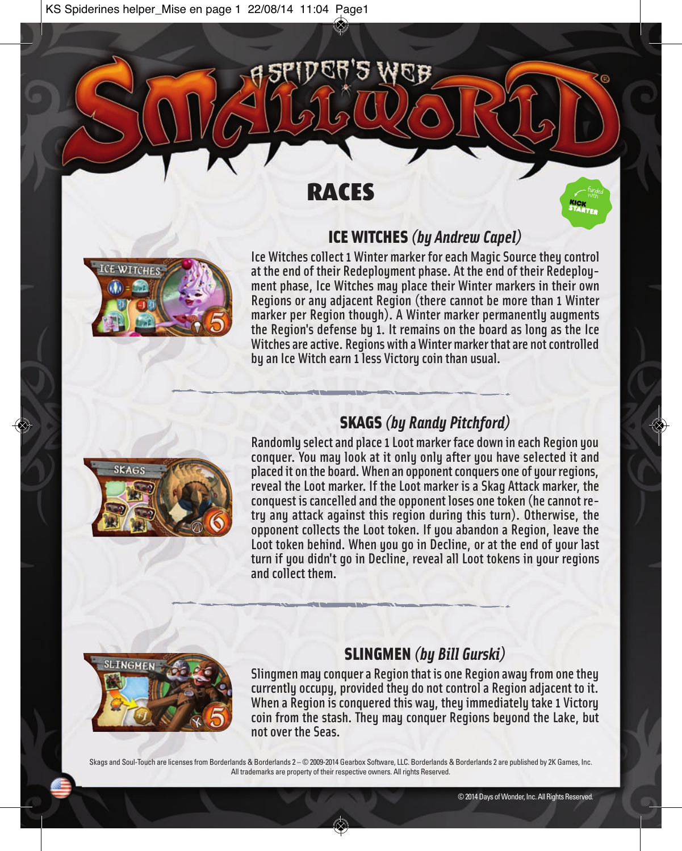## RACES



Ice Witches collect 1 Winter marker for each Magic Source they control at the end of their Redeployment phase. At the end of their Redeployment phase, Ice Witches may place their Winter markers in their own Regions or any adjacent Region (there cannot be more than 1 Winter marker per Region though). A Winter marker permanently augments the Region's defense by 1. It remains on the board as long as the Ice Witches are active. Regions with a Winter marker that are not controlled by an Ice Witch earn 1 less Victory coin than usual.

ICE WITCHES *(by Andrew Capel)*



### SKAGS *(by Randy Pitchford)*

Randomly select and place 1 Loot marker face down in each Region you conquer. You may look at it only only after you have selected it and placed it on the board. When an opponent conquers one of your regions, reveal the Loot marker. If the Loot marker is a Skag Attack marker, the conquest is cancelled and the opponent loses one token (he cannot retry any attack against this region during this turn). Otherwise, the opponent collects the Loot token. If you abandon a Region, leave the Loot token behind. When you go in Decline, or at the end of your last turn if you didn't go in Decline, reveal all Loot tokens in your regions and collect them.



### SLINGMEN *(by Bill Gurski)*

Slingmen may conquer a Region that is one Region away from one they currently occupy, provided they do not control a Region adjacent to it. When a Region is conquered this way, they immediately take 1 Victory coin from the stash. They may conquer Regions beyond the Lake, but not over the Seas.

Skags and Soul-Touch are licenses from Borderlands & Borderlands 2 – © 2009-2014 Gearbox Software, LLC. Borderlands & Borderlands 2 are published by 2K Games, Inc. All trademarks are property of their respective owners. All rights Reserved.